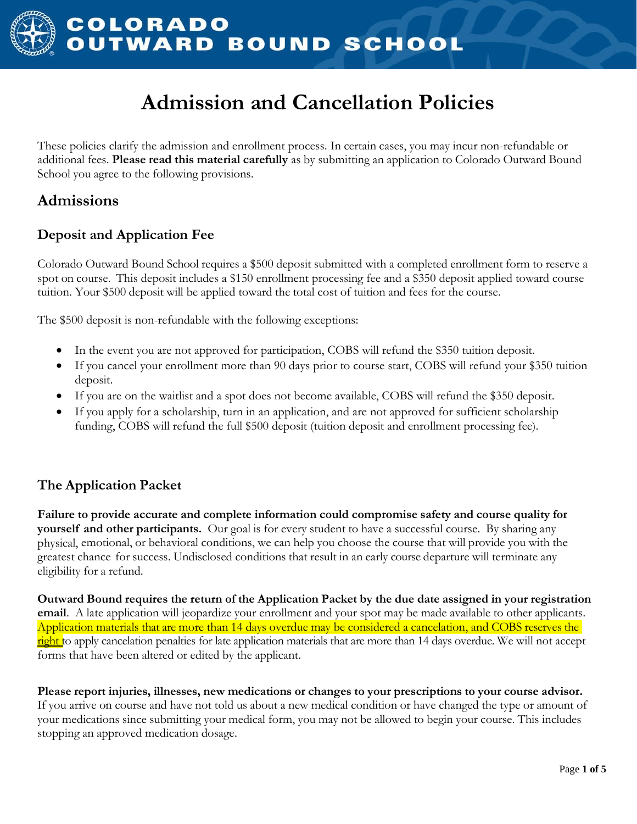

# **Admission and Cancellation Policies**

These policies clarify the admission and enrollment process. In certain cases, you may incur non-refundable or additional fees. **Please read this material carefully** as by submitting an application to Colorado Outward Bound School you agree to the following provisions.

# **Admissions**

### **Deposit and Application Fee**

Colorado Outward Bound School requires a \$500 deposit submitted with a completed enrollment form to reserve a spot on course. This deposit includes a \$150 enrollment processing fee and a \$350 deposit applied toward course tuition. Your \$500 deposit will be applied toward the total cost of tuition and fees for the course.

The \$500 deposit is non-refundable with the following exceptions:

- In the event you are not approved for participation, COBS will refund the \$350 tuition deposit.
- If you cancel your enrollment more than 90 days prior to course start, COBS will refund your \$350 tuition deposit.
- If you are on the waitlist and a spot does not become available, COBS will refund the \$350 deposit.
- If you apply for a scholarship, turn in an application, and are not approved for sufficient scholarship funding, COBS will refund the full \$500 deposit (tuition deposit and enrollment processing fee).

### **The Application Packet**

**Failure to provide accurate and complete information could compromise safety and course quality for yourself and other participants.** Our goal is for every student to have a successful course. By sharing any physical, emotional, or behavioral conditions, we can help you choose the course that will provide you with the greatest chance for success. Undisclosed conditions that result in an early course departure will terminate any eligibility for a refund.

**Outward Bound requires the return of the Application Packet by the due date assigned in your registration email**. A late application will jeopardize your enrollment and your spot may be made available to other applicants. Application materials that are more than 14 days overdue may be considered a cancelation, and COBS reserves the right to apply cancelation penalties for late application materials that are more than 14 days overdue. We will not accept forms that have been altered or edited by the applicant.

**Please report injuries, illnesses, new medications or changes to your prescriptions to your course advisor.** If you arrive on course and have not told us about a new medical condition or have changed the type or amount of your medications since submitting your medical form, you may not be allowed to begin your course. This includes stopping an approved medication dosage.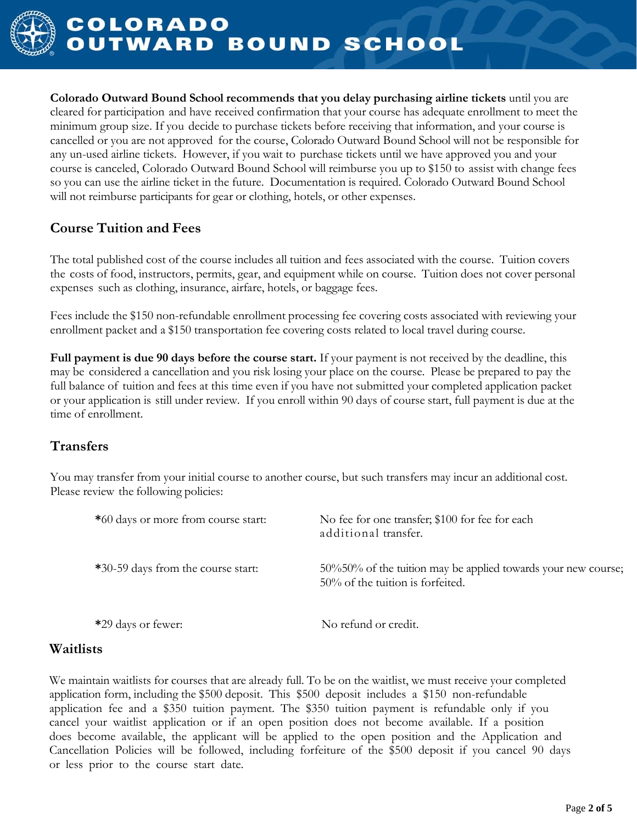

**Colorado Outward Bound School recommends that you delay purchasing airline tickets** until you are cleared for participation and have received confirmation that your course has adequate enrollment to meet the minimum group size. If you decide to purchase tickets before receiving that information, and your course is cancelled or you are not approved for the course, Colorado Outward Bound School will not be responsible for any un-used airline tickets. However, if you wait to purchase tickets until we have approved you and your course is canceled, Colorado Outward Bound School will reimburse you up to \$150 to assist with change fees so you can use the airline ticket in the future. Documentation is required. Colorado Outward Bound School will not reimburse participants for gear or clothing, hotels, or other expenses.

# **Course Tuition and Fees**

The total published cost of the course includes all tuition and fees associated with the course. Tuition covers the costs of food, instructors, permits, gear, and equipment while on course. Tuition does not cover personal expenses such as clothing, insurance, airfare, hotels, or baggage fees.

Fees include the \$150 non-refundable enrollment processing fee covering costs associated with reviewing your enrollment packet and a \$150 transportation fee covering costs related to local travel during course.

**Full payment is due 90 days before the course start.** If your payment is not received by the deadline, this may be considered a cancellation and you risk losing your place on the course. Please be prepared to pay the full balance of tuition and fees at this time even if you have not submitted your completed application packet or your application is still under review. If you enroll within 90 days of course start, full payment is due at the time of enrollment.

# **Transfers**

You may transfer from your initial course to another course, but such transfers may incur an additional cost. Please review the following policies:

| *60 days or more from course start: | No fee for one transfer; \$100 for fee for each<br>additional transfer.                              |
|-------------------------------------|------------------------------------------------------------------------------------------------------|
| *30-59 days from the course start:  | 50%50% of the tuition may be applied towards your new course;<br>$50\%$ of the tuition is forfeited. |
| *29 days or fewer:                  | No refund or credit.                                                                                 |

### **Waitlists**

We maintain waitlists for courses that are already full. To be on the waitlist, we must receive your completed application form, including the \$500 deposit. This \$500 deposit includes a \$150 non-refundable application fee and a \$350 tuition payment. The \$350 tuition payment is refundable only if you cancel your waitlist application or if an open position does not become available. If a position does become available, the applicant will be applied to the open position and the Application and Cancellation Policies will be followed, including forfeiture of the \$500 deposit if you cancel 90 days or less prior to the course start date.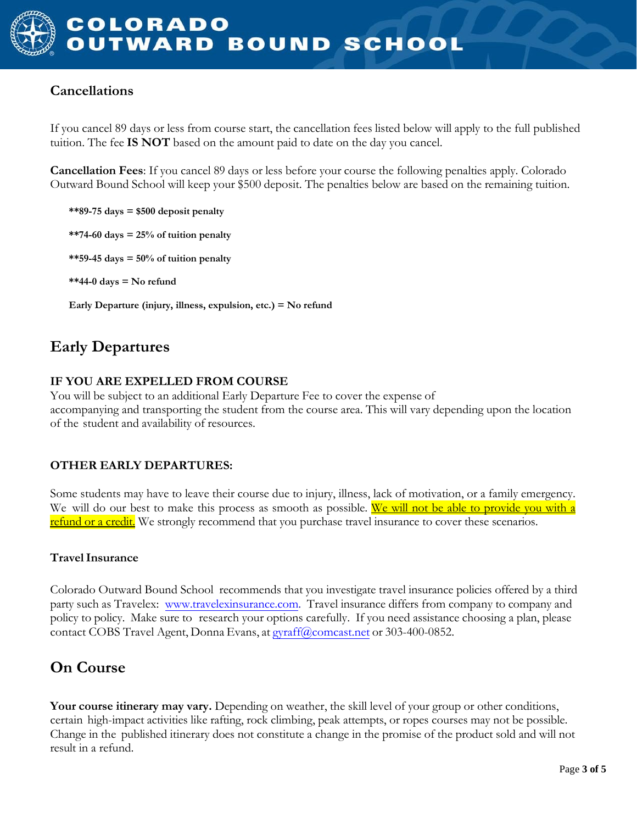## **Cancellations**

If you cancel 89 days or less from course start, the cancellation fees listed below will apply to the full published tuition. The fee **IS NOT** based on the amount paid to date on the day you cancel.

**Cancellation Fees**: If you cancel 89 days or less before your course the following penalties apply. Colorado Outward Bound School will keep your \$500 deposit. The penalties below are based on the remaining tuition.

- **\*\*89-75 days = \$500 deposit penalty**
- **\*\*74-60 days = 25% of tuition penalty**
- **\*\*59-45 days = 50% of tuition penalty**
- **\*\*44-0 days = No refund**

**Early Departure (injury, illness, expulsion, etc.) = No refund**

# **Early Departures**

#### **IF YOU ARE EXPELLED FROM COURSE**

You will be subject to an additional Early Departure Fee to cover the expense of accompanying and transporting the student from the course area. This will vary depending upon the location of the student and availability of resources.

### **OTHER EARLY DEPARTURES:**

Some students may have to leave their course due to injury, illness, lack of motivation, or a family emergency. We will do our best to make this process as smooth as possible. We will not be able to provide you with a refund or a credit. We strongly recommend that you purchase travel insurance to cover these scenarios.

### **TravelInsurance**

Colorado Outward Bound School recommends that you investigate travel insurance policies offered by a third party such as Travelex: [www.travelexinsurance.com.](http://www.travelexinsurance.com/) Travel insurance differs from company to company and policy to policy. Make sure to research your options carefully. If you need assistance choosing a plan, please contact COBS Travel Agent, Donna Evans, at [gyraff@comcast.net](mailto:ruby@southlandstravel.com) or 303-400-0852.

# **On Course**

**Your course itinerary may vary.** Depending on weather, the skill level of your group or other conditions, certain high-impact activities like rafting, rock climbing, peak attempts, or ropes courses may not be possible. Change in the published itinerary does not constitute a change in the promise of the product sold and will not result in a refund.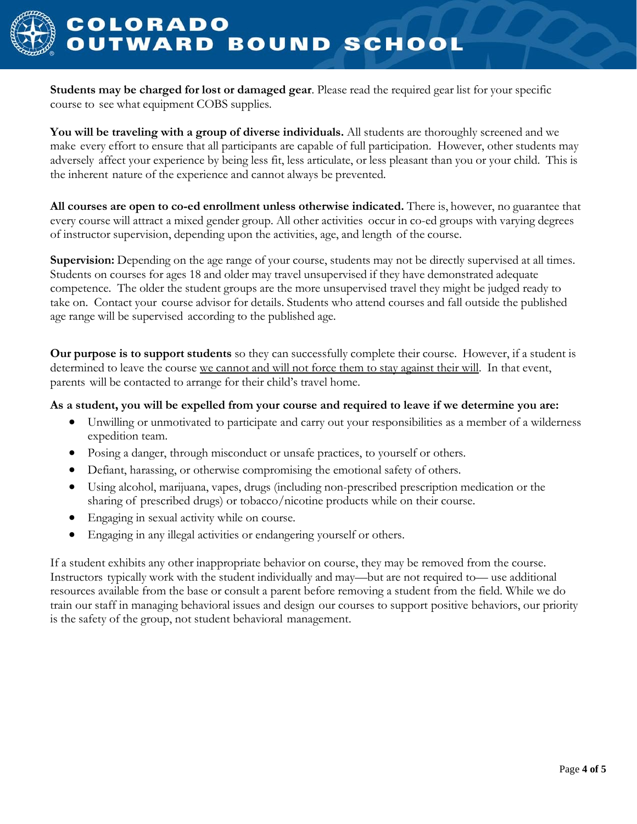

**Students may be charged for lost or damaged gear**. Please read the required gear list for your specific course to see what equipment COBS supplies.

**You will be traveling with a group of diverse individuals.** All students are thoroughly screened and we make every effort to ensure that all participants are capable of full participation. However, other students may adversely affect your experience by being less fit, less articulate, or less pleasant than you or your child. This is the inherent nature of the experience and cannot always be prevented.

**All courses are open to co-ed enrollment unless otherwise indicated.** There is, however, no guarantee that every course will attract a mixed gender group. All other activities occur in co-ed groups with varying degrees of instructor supervision, depending upon the activities, age, and length of the course.

**Supervision:** Depending on the age range of your course, students may not be directly supervised at all times. Students on courses for ages 18 and older may travel unsupervised if they have demonstrated adequate competence. The older the student groups are the more unsupervised travel they might be judged ready to take on. Contact your course advisor for details. Students who attend courses and fall outside the published age range will be supervised according to the published age.

**Our purpose is to support students** so they can successfully complete their course. However, if a student is determined to leave the course we cannot and will not force them to stay against their will. In that event, parents will be contacted to arrange for their child's travel home.

#### **As a student, you will be expelled from your course and required to leave if we determine you are:**

- Unwilling or unmotivated to participate and carry out your responsibilities as a member of a wilderness expedition team.
- Posing a danger, through misconduct or unsafe practices, to yourself or others.
- Defiant, harassing, or otherwise compromising the emotional safety of others.
- Using alcohol, marijuana, vapes, drugs (including non-prescribed prescription medication or the sharing of prescribed drugs) or tobacco/nicotine products while on their course.
- Engaging in sexual activity while on course.
- Engaging in any illegal activities or endangering yourself or others.

If a student exhibits any other inappropriate behavior on course, they may be removed from the course. Instructors typically work with the student individually and may—but are not required to— use additional resources available from the base or consult a parent before removing a student from the field. While we do train our staff in managing behavioral issues and design our courses to support positive behaviors, our priority is the safety of the group, not student behavioral management.